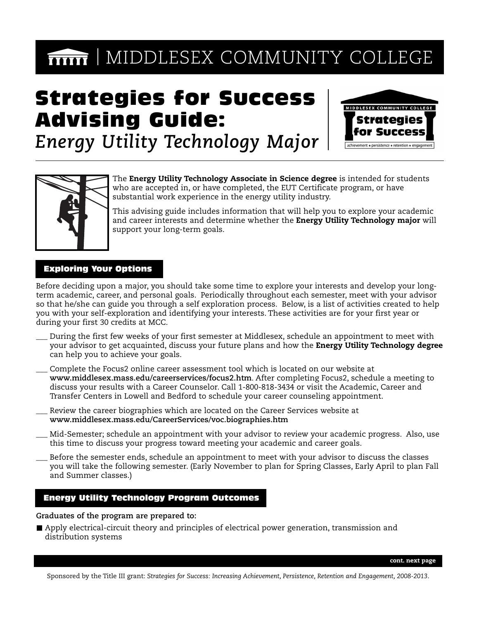# **MIDDLESEX COMMUNITY COLLEGE**

# Strategies for Success Advising Guide:



*Energy Utility Technology Major*



The **Energy Utility Technology Associate in Science degree** is intended for students who are accepted in, or have completed, the EUT Certificate program, or have substantial work experience in the energy utility industry.

This advising guide includes information that will help you to explore your academic and career interests and determine whether the **Energy Utility Technology major** will support your long-term goals.

## Exploring Your Options

Before deciding upon a major, you should take some time to explore your interests and develop your longterm academic, career, and personal goals. Periodically throughout each semester, meet with your advisor so that he/she can guide you through a self exploration process. Below, is a list of activities created to help you with your self-exploration and identifying your interests. These activities are for your first year or during your first 30 credits at MCC.

- During the first few weeks of your first semester at Middlesex, schedule an appointment to meet with your advisor to get acquainted, discuss your future plans and how the **Energy Utility Technology degree** can help you to achieve your goals.
- Complete the Focus2 online career assessment tool which is located on our website at **www.middlesex.mass.edu/careerservices/focus2.htm**. After completing Focus2, schedule a meeting to discuss your results with a Career Counselor. Call 1-800-818-3434 or visit the Academic, Career and Transfer Centers in Lowell and Bedford to schedule your career counseling appointment.
- Review the career biographies which are located on the Career Services website at **www.middlesex.mass.edu/CareerServices/voc.biographies.htm**
- Mid-Semester; schedule an appointment with your advisor to review your academic progress. Also, use this time to discuss your progress toward meeting your academic and career goals.
- \_\_\_ Before the semester ends, schedule an appointment to meet with your advisor to discuss the classes you will take the following semester. (Early November to plan for Spring Classes, Early April to plan Fall and Summer classes.)

# Energy Utility Technology Program Outcomes

**Graduates of the program are prepared to:**

Apply electrical-circuit theory and principles of electrical power generation, transmission and distribution systems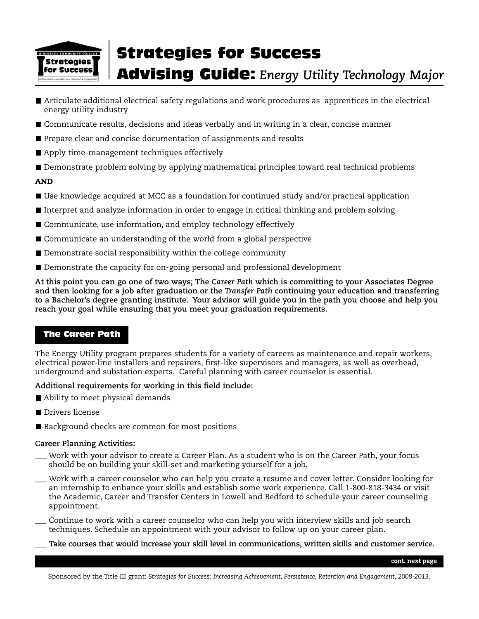

# Strategies for Success Advising Guide: *Energy Utility Technology Major*

- Articulate additional electrical safety regulations and work procedures as apprentices in the electrical energy utility industry
- Communicate results, decisions and ideas verbally and in writing in a clear, concise manner
- Prepare clear and concise documentation of assignments and results
- Apply time-management techniques effectively
- **Demonstrate problem solving by applying mathematical principles toward real technical problems**

### **AND**

- Use knowledge acquired at MCC as a foundation for continued study and/or practical application
- Interpret and analyze information in order to engage in critical thinking and problem solving
- Communicate, use information, and employ technology effectively
- Communicate an understanding of the world from a global perspective
- Demonstrate social responsibility within the college community
- Demonstrate the capacity for on-going personal and professional development

**At this point you can go one of two ways; The** *Career Path* **which is committing to your Associates Degree and then looking for a job after graduation or the** *Transfer Path* **continuing your education and transferring to a Bachelor's degree granting institute. Your advisor will guide you in the path you choose and help you reach your goal while ensuring that you meet your graduation requirements.**

# The Career Path

The Energy Utility program prepares students for a variety of careers as maintenance and repair workers, electrical power-line installers and repairers, first-like supervisors and managers, as well as overhead, underground and substation experts. Careful planning with career counselor is essential.

### **Additional requirements for working in this field include:**

- Ability to meet physical demands
- **Drivers license**
- Background checks are common for most positions

### **Career Planning Activities:**

- Work with your advisor to create a Career Plan. As a student who is on the Career Path, your focus should be on building your skill-set and marketing yourself for a job.
- Work with a career counselor who can help you create a resume and cover letter. Consider looking for an internship to enhance your skills and establish some work experience. Call 1-800-818-3434 or visit the Academic, Career and Transfer Centers in Lowell and Bedford to schedule your career counseling appointment.
- Continue to work with a career counselor who can help you with interview skills and job search techniques. Schedule an appointment with your advisor to follow up on your career plan.
	- \_\_\_ **Take courses that would increase your skill level in communications, written skills and customer service.**

**cont. next page**

Sponsored by the Title III grant: *Strategies for Success: Increasing Achievement, Persistence, Retention and Engagement, 2008-2013*.